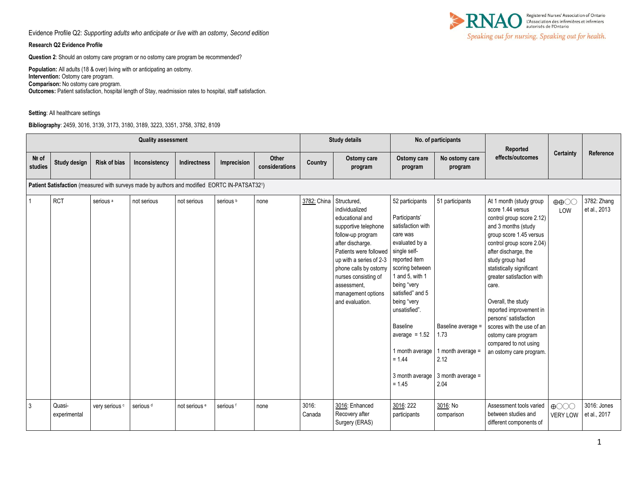### **Research Q2 Evidence Profile**

**Question 2**: Should an ostomy care program or no ostomy care program be recommended?

**Population:** All adults (18 & over) living with or anticipating an ostomy. **Intervention:** Ostomy care program. **Comparison:** No ostomy care program. **Outcomes:** Patient satisfaction, hospital length of Stay, readmission rates to hospital, staff satisfaction.

#### **Setting**: All healthcare settings

**Bibliography**: 2459, 3016, 3139, 3173, 3180, 3189, 3223, 3351, 3758, 3782, 8109



|                  |                        |                           | <b>Quality assessment</b>                                                                    |                          |                      |                         |                 | <b>Study details</b>                                                                                                                                                                                                                                                            | No. of participants                                                                                                                                                                                                                                                                                                         |                                                                                                           | Reported                                                                                                                                                                                                                                                                                                                                                                                                                                                 |                                                      |                             |
|------------------|------------------------|---------------------------|----------------------------------------------------------------------------------------------|--------------------------|----------------------|-------------------------|-----------------|---------------------------------------------------------------------------------------------------------------------------------------------------------------------------------------------------------------------------------------------------------------------------------|-----------------------------------------------------------------------------------------------------------------------------------------------------------------------------------------------------------------------------------------------------------------------------------------------------------------------------|-----------------------------------------------------------------------------------------------------------|----------------------------------------------------------------------------------------------------------------------------------------------------------------------------------------------------------------------------------------------------------------------------------------------------------------------------------------------------------------------------------------------------------------------------------------------------------|------------------------------------------------------|-----------------------------|
| Nº of<br>studies | Study design           | <b>Risk of bias</b>       | Inconsistency                                                                                | Indirectness             | Imprecision          | Other<br>considerations | Country         | Ostomy care<br>program                                                                                                                                                                                                                                                          | Ostomy care<br>program                                                                                                                                                                                                                                                                                                      | No ostomy care<br>program                                                                                 | effects/outcomes                                                                                                                                                                                                                                                                                                                                                                                                                                         | Certainty                                            | Reference                   |
|                  |                        |                           | Patient Satisfaction (measured with surveys made by authors and modified EORTC IN-PATSAT321) |                          |                      |                         |                 |                                                                                                                                                                                                                                                                                 |                                                                                                                                                                                                                                                                                                                             |                                                                                                           |                                                                                                                                                                                                                                                                                                                                                                                                                                                          |                                                      |                             |
| $\mathbf{1}$     | <b>RCT</b>             | serious <sup>a</sup>      | not serious                                                                                  | not serious              | serious <sup>b</sup> | none                    | 3782: China     | Structured,<br>individualized<br>educational and<br>supportive telephone<br>follow-up program<br>after discharge.<br>Patients were followed<br>up with a series of 2-3<br>phone calls by ostomy<br>nurses consisting of<br>assessment.<br>management options<br>and evaluation. | 52 participants<br>Participants'<br>satisfaction with<br>care was<br>evaluated by a<br>single self-<br>reported item<br>scoring between<br>1 and 5, with 1<br>being "very<br>satisfied" and 5<br>being "very<br>unsatisfied".<br>Baseline<br>average $= 1.52$<br>1 month average<br>$= 1.44$<br>3 month average<br>$= 1.45$ | 51 participants<br>Baseline average =<br>1.73<br>1 month average $=$<br>2.12<br>3 month average =<br>2.04 | At 1 month (study group<br>score 1.44 versus<br>control group score 2.12)<br>and 3 months (study<br>group score 1.45 versus<br>control group score 2.04)<br>after discharge, the<br>study group had<br>statistically significant<br>greater satisfaction with<br>care.<br>Overall, the study<br>reported improvement in<br>persons' satisfaction<br>scores with the use of an<br>ostomy care program<br>compared to not using<br>an ostomy care program. | $\oplus \oplus \odot \odot$<br>LOW                   | 3782: Zhang<br>et al., 2013 |
| $\mathbf{3}$     | Quasi-<br>experimental | very serious <sup>c</sup> | serious <sup>d</sup>                                                                         | not serious <sup>e</sup> | serious <sup>f</sup> | none                    | 3016:<br>Canada | 3016: Enhanced<br>Recovery after<br>Surgery (ERAS)                                                                                                                                                                                                                              | 3016:222<br>participants                                                                                                                                                                                                                                                                                                    | 3016: No<br>comparison                                                                                    | Assessment tools varied<br>between studies and<br>different components of                                                                                                                                                                                                                                                                                                                                                                                | $\bigoplus$ $\bigodot$ $\bigodot$<br><b>VERY LOW</b> | 3016: Jones<br>et al., 2017 |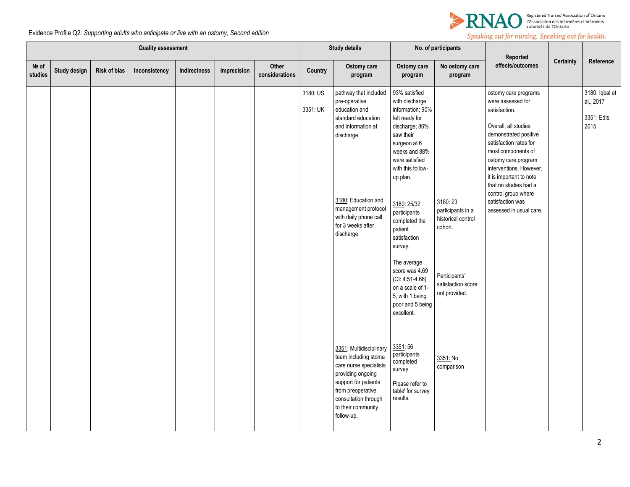

|                  | <b>Quality assessment</b> |                     |               |              |             |                         |                      | <b>Study details</b>                                                                                                                                                                                                        |                                                                                                                                                                                                                                                                                                                                                                                                               | No. of participants                                                                                                   | Reported                                                                                                                                                                                                                                                                                                                                |           |                                                    |
|------------------|---------------------------|---------------------|---------------|--------------|-------------|-------------------------|----------------------|-----------------------------------------------------------------------------------------------------------------------------------------------------------------------------------------------------------------------------|---------------------------------------------------------------------------------------------------------------------------------------------------------------------------------------------------------------------------------------------------------------------------------------------------------------------------------------------------------------------------------------------------------------|-----------------------------------------------------------------------------------------------------------------------|-----------------------------------------------------------------------------------------------------------------------------------------------------------------------------------------------------------------------------------------------------------------------------------------------------------------------------------------|-----------|----------------------------------------------------|
| Nº of<br>studies | <b>Study design</b>       | <b>Risk of bias</b> | Inconsistency | Indirectness | Imprecision | Other<br>considerations | Country              | Ostomy care<br>program                                                                                                                                                                                                      | Ostomy care<br>program                                                                                                                                                                                                                                                                                                                                                                                        | No ostomy care<br>program                                                                                             | effects/outcomes                                                                                                                                                                                                                                                                                                                        | Certainty | Reference                                          |
|                  |                           |                     |               |              |             |                         | 3180: US<br>3351: UK | pathway that included<br>pre-operative<br>education and<br>standard education<br>and information at<br>discharge.<br>3180: Education and<br>management protocol<br>with daily phone call<br>for 3 weeks after<br>discharge. | 93% satisfied<br>with discharge<br>information; 90%<br>felt ready for<br>discharge; 86%<br>saw their<br>surgeon at 6<br>weeks and 88%<br>were satisfied<br>with this follow-<br>up plan.<br>3180: 25/32<br>participants<br>completed the<br>patient<br>satisfaction<br>survey.<br>The average<br>score was 4.69<br>$(CI: 4.51-4.66)$<br>on a scale of 1-<br>5, with 1 being<br>poor and 5 being<br>excellent. | 3180:23<br>participants in a<br>historical control<br>cohort.<br>Participants'<br>satisfaction score<br>not provided. | ostomy care programs<br>were assessed for<br>satisfaction.<br>Overall, all studies<br>demonstrated positive<br>satisfaction rates for<br>most components of<br>ostomy care program<br>interventions. However,<br>it is important to note<br>that no studies had a<br>control group where<br>satisfaction was<br>assessed in usual care. |           | 3180: Iqbal et<br>al., 2017<br>3351: Edis,<br>2015 |
|                  |                           |                     |               |              |             |                         |                      | 3351: Multidisciplinary<br>team including stoma<br>care nurse specialists<br>providing ongoing<br>support for patients<br>from preoperative<br>consultation through<br>to their community<br>follow-up.                     | 3351:56<br>participants<br>completed<br>survey<br>Please refer to<br>tablef for survey<br>results.                                                                                                                                                                                                                                                                                                            | 3351: No<br>comparison                                                                                                |                                                                                                                                                                                                                                                                                                                                         |           |                                                    |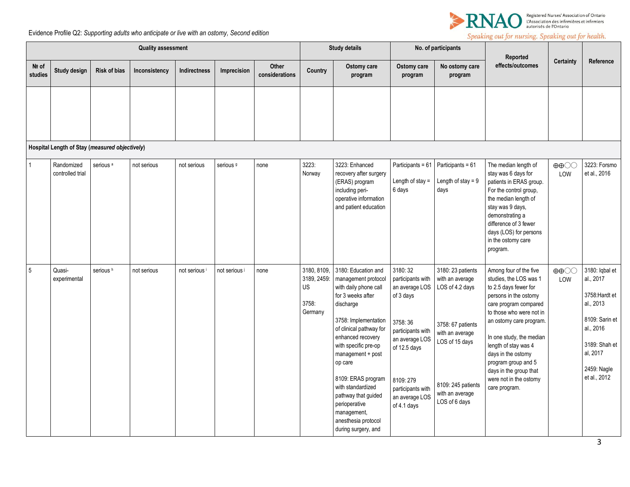

|                  | <b>Quality assessment</b>                      |                      |               |               |                      |                         | <b>Study details</b>                                 |                                                                                                                                                                                                                                                                                                                                                                                       | No. of participants                                                                                                                                                                             |                                                                                                                                                                             | Reported                                                                                                                                                                                                                                                                                                                                                 |                                    |                                                                                                                                                       |
|------------------|------------------------------------------------|----------------------|---------------|---------------|----------------------|-------------------------|------------------------------------------------------|---------------------------------------------------------------------------------------------------------------------------------------------------------------------------------------------------------------------------------------------------------------------------------------------------------------------------------------------------------------------------------------|-------------------------------------------------------------------------------------------------------------------------------------------------------------------------------------------------|-----------------------------------------------------------------------------------------------------------------------------------------------------------------------------|----------------------------------------------------------------------------------------------------------------------------------------------------------------------------------------------------------------------------------------------------------------------------------------------------------------------------------------------------------|------------------------------------|-------------------------------------------------------------------------------------------------------------------------------------------------------|
| Nº of<br>studies | Study design                                   | <b>Risk of bias</b>  | Inconsistency | Indirectness  | Imprecision          | Other<br>considerations | Country                                              | Ostomy care<br>program                                                                                                                                                                                                                                                                                                                                                                | Ostomy care<br>program                                                                                                                                                                          | No ostomy care<br>program                                                                                                                                                   | effects/outcomes                                                                                                                                                                                                                                                                                                                                         | <b>Certainty</b>                   | Reference                                                                                                                                             |
|                  | Hospital Length of Stay (measured objectively) |                      |               |               |                      |                         |                                                      |                                                                                                                                                                                                                                                                                                                                                                                       |                                                                                                                                                                                                 |                                                                                                                                                                             |                                                                                                                                                                                                                                                                                                                                                          |                                    |                                                                                                                                                       |
| $\mathbf{1}$     | Randomized<br>controlled trial                 | serious <sup>a</sup> | not serious   | not serious   | serious <sup>9</sup> | none                    | 3223:<br>Norway                                      | 3223: Enhanced<br>recovery after surgery<br>(ERAS) program<br>including peri-<br>operative information<br>and patient education                                                                                                                                                                                                                                                       | Participants = 61<br>Length of stay $=$<br>6 days                                                                                                                                               | Participants = 61<br>Length of stay = $9$<br>days                                                                                                                           | The median length of<br>stay was 6 days for<br>patients in ERAS group.<br>For the control group,<br>the median length of<br>stay was 9 days,<br>demonstrating a<br>difference of 3 fewer<br>days (LOS) for persons<br>in the ostomy care<br>program.                                                                                                     | $\oplus \oplus \odot \odot$<br>LOW | 3223: Forsmo<br>et al., 2016                                                                                                                          |
| $5\overline{5}$  | Quasi-<br>experimental                         | serious <sup>h</sup> | not serious   | not serious i | not serious i        | none                    | 3180, 8109,<br>3189, 2459:<br>US<br>3758:<br>Germany | 3180: Education and<br>management protocol<br>with daily phone call<br>for 3 weeks after<br>discharge<br>3758: Implementation<br>of clinical pathway for<br>enhanced recovery<br>with specific pre-op<br>management + post<br>op care<br>8109: ERAS program<br>with standardized<br>pathway that guided<br>perioperative<br>management,<br>anesthesia protocol<br>during surgery, and | 3180:32<br>participants with<br>an average LOS<br>of 3 days<br>3758:36<br>participants with<br>an average LOS<br>of 12.5 days<br>8109:279<br>participants with<br>an average LOS<br>of 4.1 days | 3180: 23 patients<br>with an average<br>LOS of 4.2 days<br>3758: 67 patients<br>with an average<br>LOS of 15 days<br>8109: 245 patients<br>with an average<br>LOS of 6 days | Among four of the five<br>studies, the LOS was 1<br>to 2.5 days fewer for<br>persons in the ostomy<br>care program compared<br>to those who were not in<br>an ostomy care program.<br>In one study, the median<br>length of stay was 4<br>days in the ostomy<br>program group and 5<br>days in the group that<br>were not in the ostomy<br>care program. | $\oplus \oplus \odot \odot$<br>LOW | 3180: Iqbal et<br>al., 2017<br>3758: Hardt et<br>al., 2013<br>8109: Sarin et<br>al., 2016<br>3189: Shah et<br>al, 2017<br>2459: Nagle<br>et al., 2012 |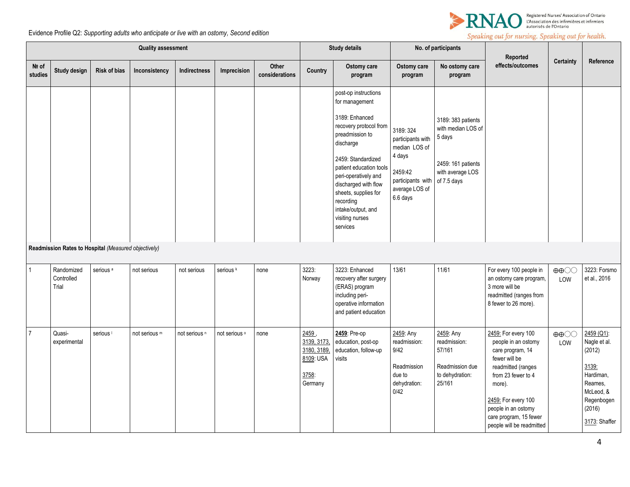

|                  | <b>Quality assessment</b>                            |                      |               |                          |                      |                         |                                                                    | <b>Study details</b>                                                                                                                                                                                                                                                                                          |                                                                                                                         | No. of participants                                                                                         | Reported                                                                                                                                                                                                                                   |                                          |                                                                                                                             |
|------------------|------------------------------------------------------|----------------------|---------------|--------------------------|----------------------|-------------------------|--------------------------------------------------------------------|---------------------------------------------------------------------------------------------------------------------------------------------------------------------------------------------------------------------------------------------------------------------------------------------------------------|-------------------------------------------------------------------------------------------------------------------------|-------------------------------------------------------------------------------------------------------------|--------------------------------------------------------------------------------------------------------------------------------------------------------------------------------------------------------------------------------------------|------------------------------------------|-----------------------------------------------------------------------------------------------------------------------------|
| Nº of<br>studies | Study design                                         | <b>Risk of bias</b>  | Inconsistency | <b>Indirectness</b>      | Imprecision          | Other<br>considerations | Country                                                            | Ostomy care<br>program                                                                                                                                                                                                                                                                                        | Ostomy care<br>program                                                                                                  | No ostomy care<br>program                                                                                   | effects/outcomes                                                                                                                                                                                                                           | Certainty                                | Reference                                                                                                                   |
|                  |                                                      |                      |               |                          |                      |                         |                                                                    | post-op instructions<br>for management<br>3189: Enhanced<br>recovery protocol from<br>preadmission to<br>discharge<br>2459: Standardized<br>patient education tools<br>peri-operatively and<br>discharged with flow<br>sheets, supplies for<br>recording<br>intake/output, and<br>visiting nurses<br>services | 3189: 324<br>participants with<br>median LOS of<br>4 days<br>2459:42<br>participants with<br>average LOS of<br>6.6 days | 3189: 383 patients<br>with median LOS of<br>5 days<br>2459: 161 patients<br>with average LOS<br>of 7.5 days |                                                                                                                                                                                                                                            |                                          |                                                                                                                             |
|                  | Readmission Rates to Hospital (Measured objectively) |                      |               |                          |                      |                         |                                                                    |                                                                                                                                                                                                                                                                                                               |                                                                                                                         |                                                                                                             |                                                                                                                                                                                                                                            |                                          |                                                                                                                             |
|                  | Randomized<br>Controlled<br>Trial                    | serious <sup>a</sup> | not serious   | not serious              | serious <sup>k</sup> | none                    | 3223:<br>Norway                                                    | 3223: Enhanced<br>recovery after surgery<br>(ERAS) program<br>including peri-<br>operative information<br>and patient education                                                                                                                                                                               | 13/61                                                                                                                   | 11/61                                                                                                       | For every 100 people in<br>an ostomy care program,<br>3 more will be<br>readmitted (ranges from<br>8 fewer to 26 more).                                                                                                                    | $\oplus \oplus \bigcirc \bigcirc$<br>LOW | 3223: Forsmo<br>et al., 2016                                                                                                |
| $\overline{7}$   | Quasi-<br>experimental                               | serious <sup>1</sup> | not serious m | not serious <sup>n</sup> | not serious o        | none                    | 2459<br>3139, 3173,<br>3180, 3189,<br>8109: USA<br>3758<br>Germany | 2459: Pre-op<br>education, post-op<br>education, follow-up<br>visits                                                                                                                                                                                                                                          | 2459: Any<br>readmission:<br>9/42<br>Readmission<br>due to<br>dehydration:<br>0/42                                      | 2459: Any<br>readmission:<br>57/161<br>Readmission due<br>to dehydration:<br>25/161                         | 2459: For every 100<br>people in an ostomy<br>care program, 14<br>fewer will be<br>readmitted (ranges<br>from 23 fewer to 4<br>more).<br>2459: For every 100<br>people in an ostomy<br>care program, 15 fewer<br>people will be readmitted | $\oplus \oplus \bigcirc \bigcirc$<br>LOW | 2459 (Q1):<br>Nagle et al.<br>(2012)<br>3139:<br>Hardiman,<br>Reames,<br>McLeod, &<br>Regenbogen<br>(2016)<br>3173: Shaffer |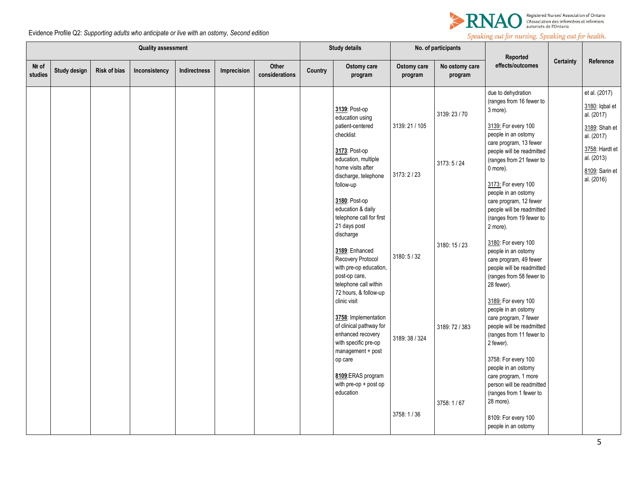

|                  | <b>Quality assessment</b> |                     |               |              |             |                         |         | <b>Study details</b>                                                                                                              |                        | No. of participants       | Reported                                                                                                                                    |                  |                                                                            |
|------------------|---------------------------|---------------------|---------------|--------------|-------------|-------------------------|---------|-----------------------------------------------------------------------------------------------------------------------------------|------------------------|---------------------------|---------------------------------------------------------------------------------------------------------------------------------------------|------------------|----------------------------------------------------------------------------|
| Nº of<br>studies | Study design              | <b>Risk of bias</b> | Inconsistency | Indirectness | Imprecision | Other<br>considerations | Country | Ostomy care<br>program                                                                                                            | Ostomy care<br>program | No ostomy care<br>program | effects/outcomes                                                                                                                            | <b>Certainty</b> | Reference                                                                  |
|                  |                           |                     |               |              |             |                         |         | 3139: Post-op<br>education using<br>patient-centered                                                                              | 3139: 21 / 105         | 3139:23/70                | due to dehydration<br>(ranges from 16 fewer to<br>3 more).<br>3139: For every 100                                                           |                  | et al. (2017)<br>3180: Iqbal et<br>al. (2017)<br>3189: Shah et             |
|                  |                           |                     |               |              |             |                         |         | checklist<br>3173: Post-op<br>education, multiple<br>home visits after<br>discharge, telephone<br>follow-up                       | 3173:2 / 23            | 3173:5/24                 | people in an ostomy<br>care program, 13 fewer<br>people will be readmitted<br>(ranges from 21 fewer to<br>0 more).<br>3173: For every 100   |                  | al. (2017)<br>3758: Hardt et<br>al. (2013)<br>8109: Sarin et<br>al. (2016) |
|                  |                           |                     |               |              |             |                         |         | 3180: Post-op<br>education & daily<br>telephone call for first<br>21 days post<br>discharge                                       |                        |                           | people in an ostomy<br>care program, 12 fewer<br>people will be readmitted<br>(ranges from 19 fewer to<br>2 more).                          |                  |                                                                            |
|                  |                           |                     |               |              |             |                         |         | 3189: Enhanced<br>Recovery Protocol<br>with pre-op education,<br>post-op care,<br>telephone call within<br>72 hours, & follow-up  | 3180: 5 / 32           | 3180: 15 / 23             | 3180: For every 100<br>people in an ostomy<br>care program, 49 fewer<br>people will be readmitted<br>(ranges from 58 fewer to<br>28 fewer). |                  |                                                                            |
|                  |                           |                     |               |              |             |                         |         | clinic visit<br>3758: Implementation<br>of clinical pathway for<br>enhanced recovery<br>with specific pre-op<br>management + post | 3189: 38 / 324         | 3189: 72 / 383            | 3189: For every 100<br>people in an ostomy<br>care program, 7 fewer<br>people will be readmitted<br>(ranges from 11 fewer to<br>2 fewer).   |                  |                                                                            |
|                  |                           |                     |               |              |             |                         |         | op care<br>8109:ERAS program<br>with pre-op + post op<br>education                                                                |                        | 3758: 1/67                | 3758: For every 100<br>people in an ostomy<br>care program, 1 more<br>person will be readmitted<br>(ranges from 1 fewer to<br>28 more).     |                  |                                                                            |
|                  |                           |                     |               |              |             |                         |         |                                                                                                                                   | 3758: 1/36             |                           | 8109: For every 100<br>people in an ostomy                                                                                                  |                  |                                                                            |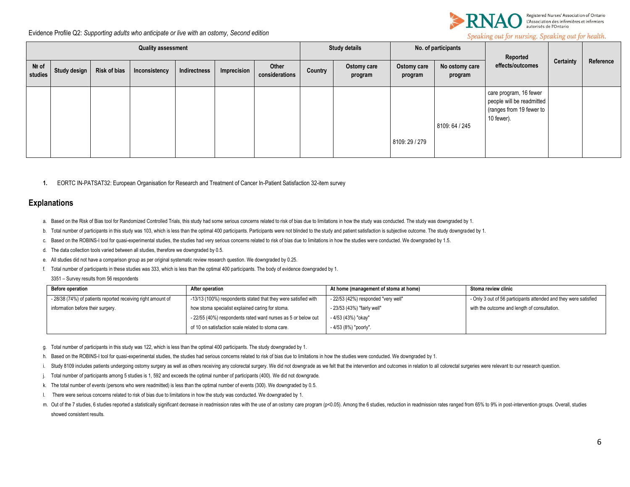

Speaking out for nursing. Speaking out for health.

| <b>Quality assessment</b> |              |                     |               |              |             |                         | <b>Study details</b> |                        | No. of participants    |                           | Reported                                                                                      |                  | Reference |
|---------------------------|--------------|---------------------|---------------|--------------|-------------|-------------------------|----------------------|------------------------|------------------------|---------------------------|-----------------------------------------------------------------------------------------------|------------------|-----------|
| Nº of<br>studies          | Study design | <b>Risk of bias</b> | Inconsistency | Indirectness | Imprecision | Other<br>considerations | Country              | Ostomy care<br>program | Ostomy care<br>program | No ostomy care<br>program | effects/outcomes                                                                              | <b>Certainty</b> |           |
|                           |              |                     |               |              |             |                         |                      |                        | 8109:29 / 279          | 8109: 64 / 245            | care program, 16 fewer<br>people will be readmitted<br>(ranges from 19 fewer to<br>10 fewer). |                  |           |

**1.** EORTC IN-PATSAT32: European Organisation for Research and Treatment of Cancer In-Patient Satisfaction 32-item survey

### **Explanations**

- a. Based on the Risk of Bias tool for Randomized Controlled Trials, this study had some serious concerns related to risk of bias due to limitations in how the study was conducted. The study was downgraded by 1
- b. Total number of participants in this study was 103, which is less than the optimal 400 participants. Participants were not blinded to the study and patient satisfaction is subjective outcome. The study downgraded by 1.
- c. Based on the ROBINS-I tool for quasi-experimental studies, the studies had very serious concerns related to risk of bias due to limitations in how the studies were conducted. We downgraded by 1.5.
- d. The data collection tools varied between all studies, therefore we downgraded by 0.5.
- e. All studies did not have a comparison group as per original systematic review research question. We downgraded by 0.25.
- f. Total number of participants in these studies was 333, which is less than the optimal 400 participants. The body of evidence downgraded by 1.

3351 – Survey results from 56 respondents

| <b>Before operation</b>                                      | After operation                                                | At home (management of stoma at home) | Stoma review clinic                                              |
|--------------------------------------------------------------|----------------------------------------------------------------|---------------------------------------|------------------------------------------------------------------|
| - 28/38 (74%) of patients reported receiving right amount of | -13/13 (100%) respondents stated that they were satisfied with | - 22/53 (42%) responded "very well"   | - Only 3 out of 56 participants attended and they were satisfied |
| information before their surgery.                            | how stoma specialist explained caring for stoma.               | - 23/53 (43%) "fairly well"           | with the outcome and length of consultation.                     |
|                                                              | - 22/55 (40%) respondents rated ward nurses as 5 or below out  | - 4/53 (43%) "okay"                   |                                                                  |
|                                                              | of 10 on satisfaction scale related to stoma care.             | - 4/53 (8%) "poorly".                 |                                                                  |

- g. Total number of participants in this study was 122, which is less than the optimal 400 participants. The study downgraded by 1.
- h. Based on the ROBINS-I tool for quasi-experimental studies, the studies had serious concerns related to risk of bias due to limitations in how the studies were conducted. We downgraded by 1.
- i. Study 8109 includes patients undergoing ostomy surgery as well as others receiving any colorectal surgery. We did not downgrade as we felt that the intervention and outcomes in relation to all colorectal surgeries were
- j. Total number of participants among 5 studies is 1, 592 and exceeds the optimal number of participants (400). We did not downgrade.
- k. The total number of events (persons who were readmitted) is less than the optimal number of events (300). We downgraded by 0.5.
- l. There were serious concerns related to risk of bias due to limitations in how the study was conducted. We downgraded by 1.
- m. Out of the 7 studies, 6 studies reported a statistically significant decrease in readmission rates with the use of an ostomy care program (p<0.05). Among the 6 studies, reduction in readmission rates ranged from 65% to showed consistent results.